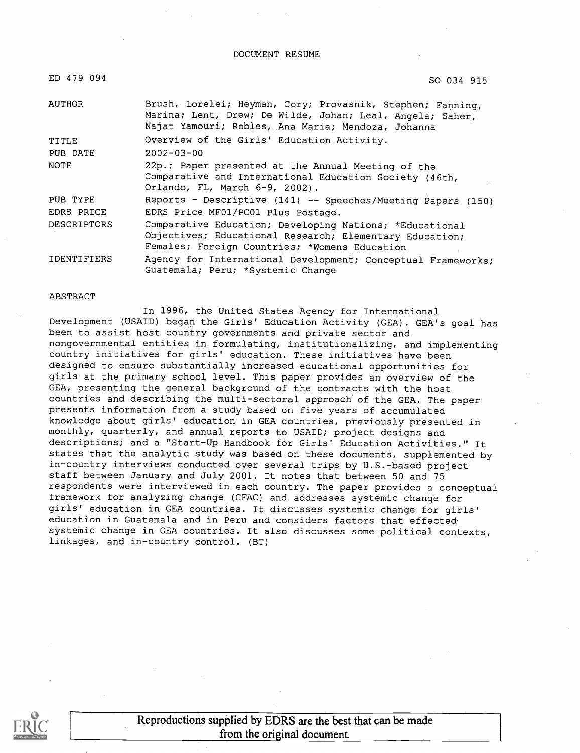#### DOCUMENT RESUME

| ED 479 094         | SO 034 915                                                                                                                                                                    |
|--------------------|-------------------------------------------------------------------------------------------------------------------------------------------------------------------------------|
| AUTHOR             | Brush, Lorelei; Heyman, Cory; Provasnik, Stephen; Fanning,<br>Marina; Lent, Drew; De Wilde, Johan; Leal, Angela; Saher,<br>Najat Yamouri; Robles, Ana Maria; Mendoza, Johanna |
| TITLE              | Overview of the Girls' Education Activity.                                                                                                                                    |
| PUB DATE           | $2002 - 03 - 00$                                                                                                                                                              |
| NOTE               | 22p.; Paper presented at the Annual Meeting of the<br>Comparative and International Education Society (46th,<br>Orlando, FL, March 6-9, 2002).                                |
| PUB TYPE           | Reports - Descriptive (141) -- Speeches/Meeting Papers (150)                                                                                                                  |
| EDRS PRICE         | EDRS Price MF01/PC01 Plus Postage.                                                                                                                                            |
| <b>DESCRIPTORS</b> | Comparative Education; Developing Nations; *Educational<br>Objectives; Educational Research; Elementary Education;<br>Females; Foreign Countries; *Womens Education           |
| <b>IDENTIFIERS</b> | Agency for International Development; Conceptual Frameworks;<br>Guatemala; Peru; *Systemic Change                                                                             |

#### ABSTRACT

In 1996, the United States Agency for International Development (USAID) began the Girls' Education Activity (GEA). GEA's goal has been to assist host country governments and private sector and nongovernmental entities in formulating, institutionalizing, and implementing country initiatives for girls' education. These initiatives have been designed to ensure substantially increased educational opportunities for girls at the primary school level. This paper provides an overview of the GEA, presenting the general background of the contracts with the host countries and describing the multi-sectoral approach of the GEA. The paper presents information from a study based on five years of accumulated knowledge about girls' education in GEA countries, previously presented in monthly, quarterly, and annual reports to USAID; project designs and descriptions; and a "Start-Up Handbook for Girls' Education Activities." It states that the analytic study was based on these documents, supplemented by in-country interviews conducted over several trips by U.S.-based project staff between January and July 2001. It notes that between 50 and 75 respondents were interviewed in each country. The paper provides a conceptual framework for analyzing change (CFAC) and addresses systemic change for girls' education in GEA countries. It discusses systemic change for girls' education in Guatemala and in Peru and considers factors that effected systemic change in GEA countries. It also discusses some political contexts, linkages, and in-country control. (BT)

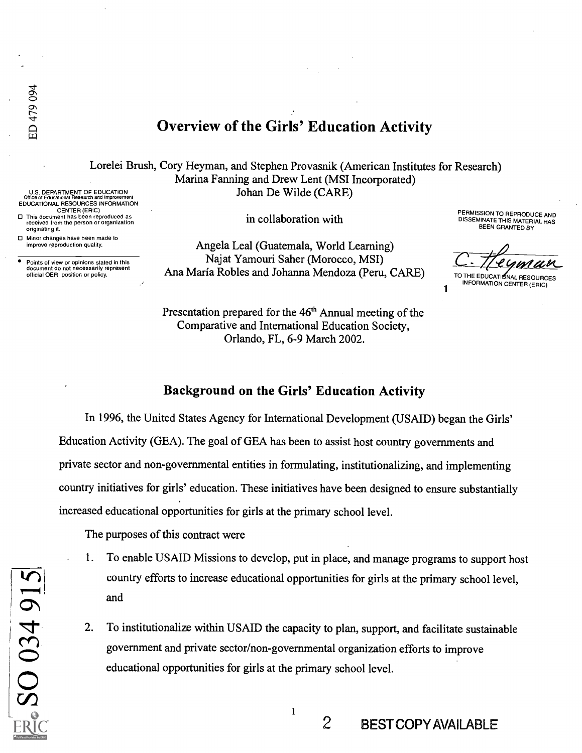EDUCATIONAL RESOURCES INFORMATION CENTER (ERIC) This document has been reproduced as received from the person or organization originating it.

Points of view or opinions stated in this document do not necessarily represent official OERI position or policy.

Minor changes have been made to improve reproduction quality.

# Overview of the Girls' Education Activity

Lorelei Brus h, Cory Heyman, and Stephen Provasnik (American Institutes for Research) U.S. DEPARTMENT OF EDUCATION Office of Educational Research and Improvement Marina Fanning and Drew Lent (MSI Incorporated) Johan De Wilde (CARE)

in collaboration with

Angela Leal (Guatemala, World Learning) Najat Yamouri Saher (Morocco, MSI) Ana Maria Robles and Johanna Mendoza (Peru, CARE)

Presentation prepared for the  $46<sup>th</sup>$  Annual meeting of the Comparative and International Education Society, Orlando, FL, 6-9 March 2002.

PERMISSION TO REPRODUCE AND DISSEMINATE THIS MATERIAL HAS BEEN GRANTED BY

C . Tre GMANU

INFORMATION CENTER (ERIC)

1

2 BEST COPY AVAILABLE

#### Background on the Girls' Education Activity

In 1996, the United States Agency for International Development (USAID) began the Girls' Education Activity (GEA). The goal of GEA has been to assist host country governments and private sector and non-governmental entities in formulating, institutionalizing, and implementing country initiatives for girls' education. These initiatives have been designed to ensure substantially increased educational opportunities for girls at the primary school level.

The purposes of this contract were

- 1. To enable USAID Missions to develop, put in place, and manage programs to support host country efforts to increase educational opportunities for girls at the primary school level, and
- 2. To institutionalize within USAID the capacity to plan, support, and facilitate sustainable government and private sector/non-governmental organization efforts to improve educational opportunities for girls at the primary school level.

 $\mathbf{1}$ 

SO 034 915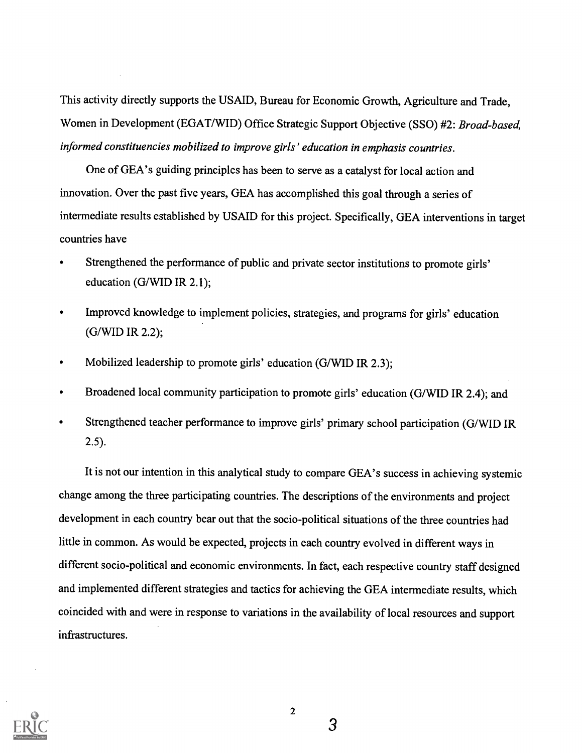This activity directly supports the USAID, Bureau for Economic Growth, Agriculture and Trade, Women in Development (EGAT/WID) Office Strategic Support Objective (SSO) #2: Broad-based, informed constituencies mobilized to improve girls' education in emphasis countries.

One of GEA's guiding principles has been to serve as a catalyst for local action and innovation. Over the past five years, GEA has accomplished this goal through a series of intermediate results established by USAID for this project. Specifically, GEA interventions in target countries have

- Strengthened the performance of public and private sector institutions to promote girls' education (G/WID IR 2.1);
- Improved knowledge to implement policies, strategies, and programs for girls' education  $\bullet$ (G/WID IR 2.2);
- Mobilized leadership to promote girls' education (G/WID IR 2.3);
- Broadened local community participation to promote girls' education (G/WID IR 2.4); and
- Strengthened teacher performance to improve girls' primary school participation (G/WID IR 2.5).

It is not our intention in this analytical study to compare GEA's success in achieving systemic change among the three participating countries. The descriptions of the environments and project development in each country bear out that the socio-political situations of the three countries had little in common. As would be expected, projects in each country evolved in different ways in different socio-political and economic environments. In fact, each respective country staff designed and implemented different strategies and tactics for achieving the GEA intermediate results, which coincided with and were in response to variations in the availability of local resources and support infrastructures.



2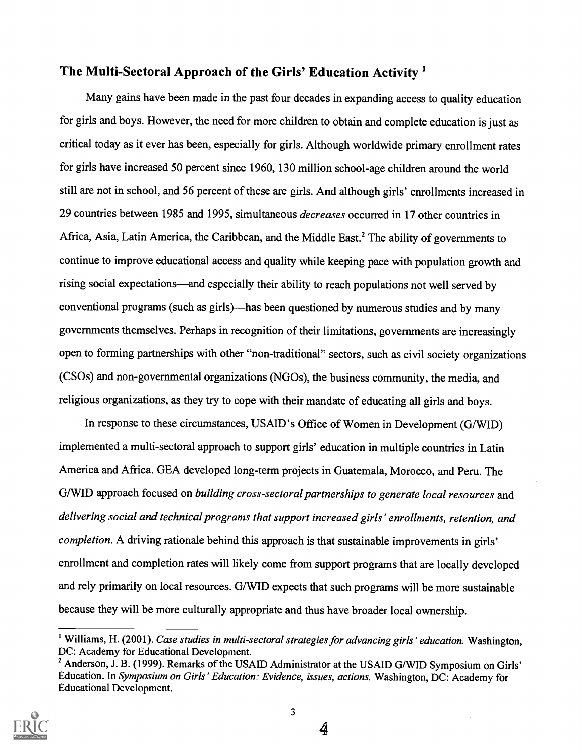# The Multi-Sectoral Approach of the Girls' Education Activity'

Many gains have been made in the past four decades in expanding access to quality education for girls and boys. However, the need for more children to obtain and complete education is just as critical today as it ever has been, especially for girls. Although worldwide primary enrollment rates for girls have increased 50 percent since 1960, 130 million school-age children around the world still are not in school, and 56 percent of these are girls. And although girls' enrollments increased in 29 countries between 1985 and 1995, simultaneous decreases occurred in 17 other countries in Africa, Asia, Latin America, the Caribbean, and the Middle East.<sup>2</sup> The ability of governments to continue to improve educational access and quality while keeping pace with population growth and rising social expectations—and especially their ability to reach populations not well served by conventional programs (such as girls)—has been questioned by numerous studies and by many governments themselves. Perhaps in recognition of their limitations, governments are increasingly open to forming partnerships with other "non-traditional" sectors, such as civil society organizations (CS0s) and non-governmental organizations (NG0s), the business community, the media, and religious organizations, as they try to cope with their mandate of educating all girls and boys.

In response to these circumstances, USAID's Office of Women in Development (G/WID) implemented a multi-sectoral approach to support girls' education in multiple countries in Latin America and Africa. GEA developed long-term projects in Guatemala, Morocco, and Peru. The G/WID approach focused on building cross-sectoral partnerships to generate local resources and delivering social and technical programs that support increased girls' enrollments, retention, and completion. A driving rationale behind this approach is that sustainable improvements in girls' enrollment and completion rates will likely come from support programs that are locally developed and rely primarily on local resources. G/WID expects that such programs will be more sustainable because they will be more culturally appropriate and thus have broader local ownership.

<sup>&</sup>lt;sup>2</sup> Anderson, J. B. (1999). Remarks of the USAID Administrator at the USAID G/WID Symposium on Girls' Education. In Symposium on Girls' Education: Evidence, issues, actions. Washington, DC: Academy for Educational Development.



<sup>&</sup>lt;sup>1</sup> Williams, H. (2001). Case studies in multi-sectoral strategies for advancing girls' education. Washington, DC: Academy for Educational Development.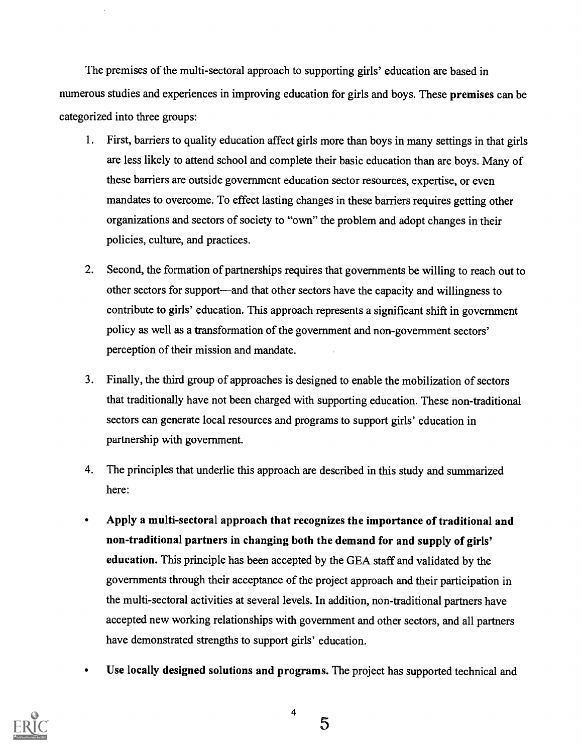The premises of the multi-sectoral approach to supporting girls' education are based in numerous studies and experiences in improving education for girls and boys. These premises can be categorized into three groups:

- 1. First, barriers to quality education affect girls more than boys in many settings in that girls are less likely to attend school and complete their basic education than are boys. Many of these barriers are outside government education sector resources, expertise, or even mandates to overcome. To effect lasting changes in these barriers requires getting other organizations and sectors of society to "own" the problem and adopt changes in their policies, culture, and practices.
- 2. Second, the formation of partnerships requires that governments be willing to reach out to other sectors for support—and that other sectors have the capacity and willingness to contribute to girls' education. This approach represents a significant shift in government policy as well as a transformation of the government and non-government sectors' perception of their mission and mandate.
- 3. Finally, the third group of approaches is designed to enable the mobilization of sectors that traditionally have not been charged with supporting education. These non-traditional sectors can generate local resources and programs to support girls' education in partnership with government.
- 4. The principles that underlie this approach are described in this study and summarized here:
- $\bullet$ Apply a multi-sectoral approach that recognizes the importance of traditional and non-traditional partners in changing both the demand for and supply of girls' education. This principle has been accepted by the GEA staff and validated by the governments through their acceptance of the project approach and their participation in the multi-sectoral activities at several levels. In addition, non-traditional partners have accepted new working relationships with government and other sectors, and all partners have demonstrated strengths to support girls' education.
- Use locally designed solutions and programs. The project has supported technical and



5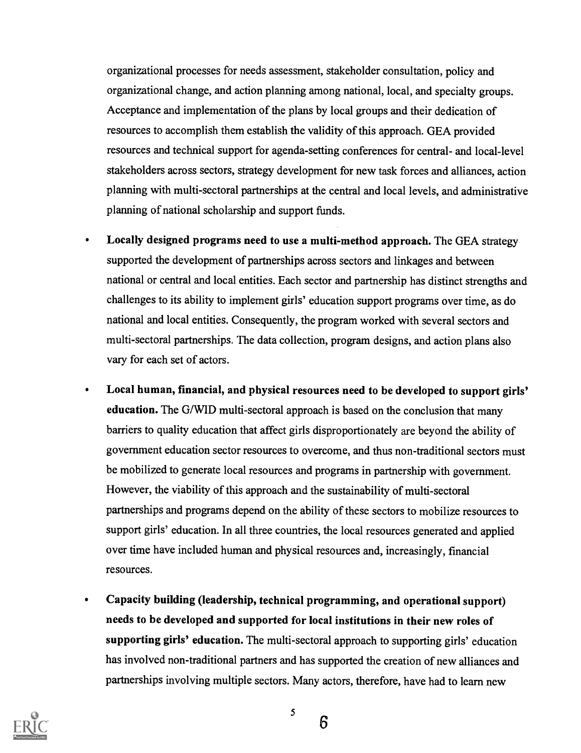organizational processes for needs assessment, stakeholder consultation, policy and organizational change, and action planning among national, local, and specialty groups. Acceptance and implementation of the plans by local groups and their dedication of resources to accomplish them establish the validity of this approach. GEA provided resources and technical support for agenda-setting conferences for central- and local-level stakeholders across sectors, strategy development for new task forces and alliances, action planning with multi-sectoral partnerships at the central and local levels, and administrative planning of national scholarship and support funds.

- Locally designed programs need to use a multi-method approach. The GEA strategy  $\bullet$ supported the development of partnerships across sectors and linkages and between national or central and local entities. Each sector and partnership has distinct strengths and challenges to its ability to implement girls' education support programs over time, as do national and local entities. Consequently, the program worked with several sectors and multi-sectoral partnerships. The data collection, program designs, and action plans also vary for each set of actors.
- Local human, financial, and physical resources need to be developed to support girls' education. The G/WID multi-sectoral approach is based on the conclusion that many barriers to quality education that affect girls disproportionately are beyond the ability of government education sector resources to overcome, and thus non-traditional sectors must be mobilized to generate local resources and programs in partnership with government. However, the viability of this approach and the sustainability of multi-sectoral partnerships and programs depend on the ability of these sectors to mobilize resources to support girls' education. In all three countries, the local resources generated and applied over time have included human and physical resources and, increasingly, financial resources.
- Capacity building (leadership, technical programming, and operational support)  $\bullet$ needs to be developed and supported for local institutions in their new roles of supporting girls' education. The multi-sectoral approach to supporting girls' education has involved non-traditional partners and has supported the creation of new alliances and partnerships involving multiple sectors. Many actors, therefore, have had to learn new



5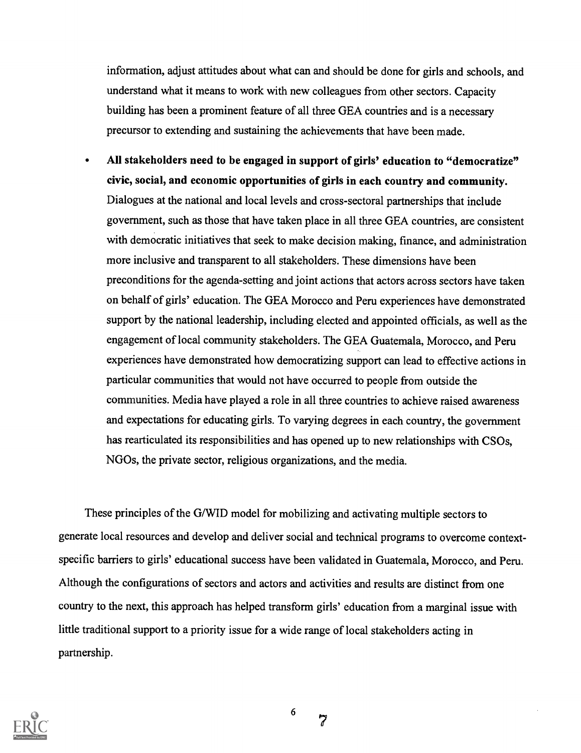information, adjust attitudes about what can and should be done for girls and schools, and understand what it means to work with new colleagues from other sectors. Capacity building has been a prominent feature of all three GEA countries and is a necessary precursor to extending and sustaining the achievements that have been made.

All stakeholders need to be engaged in support of girls' education to "democratize" civic, social, and economic opportunities of girls in each country and community. Dialogues at the national and local levels and cross-sectoral partnerships that include government, such as those that have taken place in all three GEA countries, are consistent with democratic initiatives that seek to make decision making, finance, and administration more inclusive and transparent to all stakeholders. These dimensions have been preconditions for the agenda-setting and joint actions that actors across sectors have taken on behalf of girls' education. The GEA Morocco and Peru experiences have demonstrated support by the national leadership, including elected and appointed officials, as well as the engagement of local community stakeholders. The GEA Guatemala, Morocco, and Peru experiences have demonstrated how democratizing support can lead to effective actions in particular communities that would not have occurred to people from outside the communities. Media have played a role in all three countries to achieve raised awareness and expectations for educating girls. To varying degrees in each country, the government has rearticulated its responsibilities and has opened up to new relationships with CSOs, NGOs, the private sector, religious organizations, and the media.

These principles of the G/WID model for mobilizing and activating multiple sectors to generate local resources and develop and deliver social and technical programs to overcome contextspecific barriers to girls' educational success have been validated in Guatemala, Morocco, and Peru. Although the configurations of sectors and actors and activities and results are distinct from one country to the next, this approach has helped transform girls' education from a marginal issue with little traditional support to a priority issue for a wide range of local stakeholders acting in partnership.



6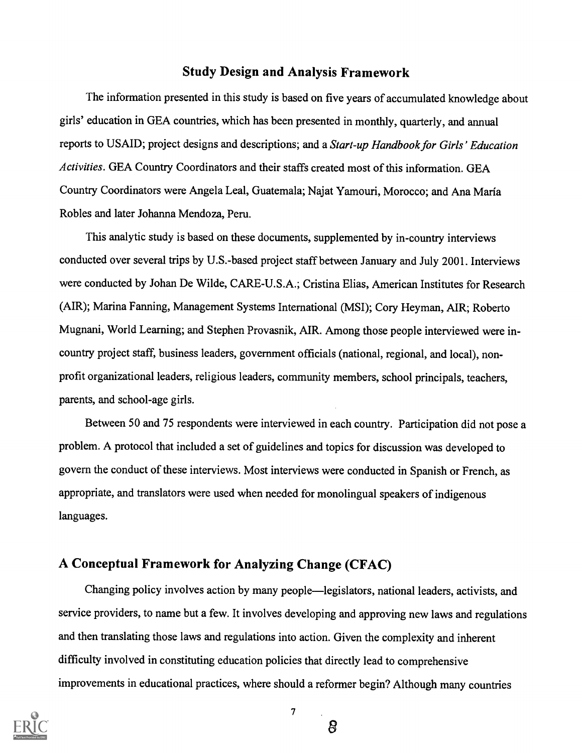# Study Design and Analysis Framework

The information presented in this study is based on five years of accumulated knowledge about girls' education in GEA countries, which has been presented in monthly, quarterly, and annual reports to USAID; project designs and descriptions; and a Start-up Handbook for Girls' Education Activities. GEA Country Coordinators and their staffs created most of this information. GEA Country Coordinators were Angela Leal, Guatemala; Najat Yamouri, Morocco; and Ana Maria Robles and later Johanna Mendoza, Peru.

This analytic study is based on these documents, supplemented by in-country interviews conducted over several trips by U.S.-based project staff between January and July 2001. Interviews were conducted by Johan De Wilde, CARE-U.S.A.; Cristina Elias, American Institutes for Research (AIR); Marina Fanning, Management Systems International (MSI); Cory Heyman, AIR; Roberto Mugnani, World Learning; and Stephen Provasnik, AIR. Among those people interviewed were incountry project staff, business leaders, government officials (national, regional, and local), nonprofit organizational leaders, religious leaders, community members, school principals, teachers, parents, and school-age girls.

Between 50 and 75 respondents were interviewed in each country. Participation did not pose a problem. A protocol that included a set of guidelines and topics for discussion was developed to govern the conduct of these interviews. Most interviews were conducted in Spanish or French, as appropriate, and translators were used when needed for monolingual speakers of indigenous languages.

# A Conceptual Framework for Analyzing Change (CFAC)

Changing policy involves action by many people—legislators, national leaders, activists, and service providers, to name but a few. It involves developing and approving new laws and regulations and then translating those laws and regulations into action. Given the complexity and inherent difficulty involved in constituting education policies that directly lead to comprehensive improvements in educational practices, where should a reformer begin? Although many countries



7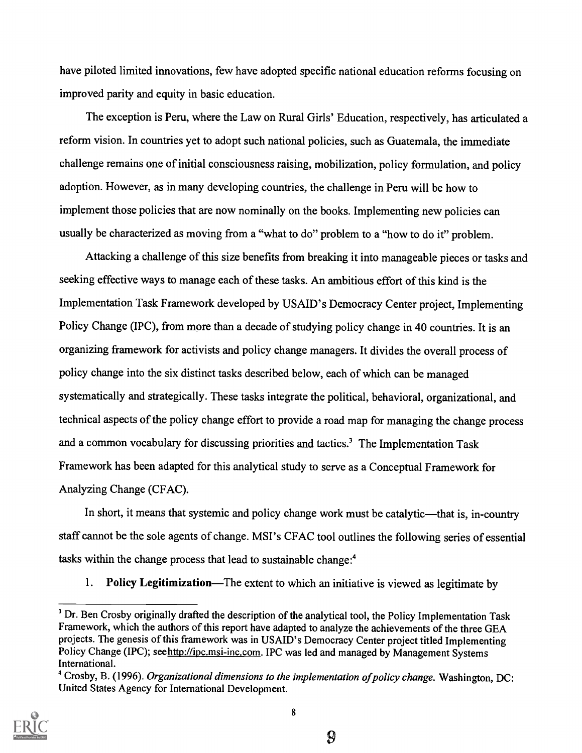have piloted limited innovations, few have adopted specific national education reforms focusing on improved parity and equity in basic education.

The exception is Peru, where the Law on Rural Girls' Education, respectively, has articulated a reform vision. In countries yet to adopt such national policies, such as Guatemala, the immediate challenge remains one of initial consciousness raising, mobilization, policy formulation, and policy adoption. However, as in many developing countries, the challenge in Peru will be how to implement those policies that are now nominally on the books. Implementing new policies can usually be characterized as moving from a "what to do" problem to a "how to do it" problem.

Attacking a challenge of this size benefits from breaking it into manageable pieces or tasks and seeking effective ways to manage each of these tasks. An ambitious effort of this kind is the Implementation Task Framework developed by USAID's Democracy Center project, Implementing Policy Change (IPC), from more than a decade of studying policy change in 40 countries. It is an organizing framework for activists and policy change managers. It divides the overall process of policy change into the six distinct tasks described below, each of which can be managed systematically and strategically. These tasks integrate the political, behavioral, organizational, and technical aspects of the policy change effort to provide a road map for managing the change process and a common vocabulary for discussing priorities and tactics.<sup>3</sup> The Implementation Task Framework has been adapted for this analytical study to serve as a Conceptual Framework for Analyzing Change (CFAC).

In short, it means that systemic and policy change work must be catalytic—that is, in-country staff cannot be the sole agents of change. MSI's CFAC tool outlines the following series of essential tasks within the change process that lead to sustainable change:4

1. Policy Legitimization—The extent to which an initiative is viewed as legitimate by

<sup>&</sup>lt;sup>4</sup> Crosby, B. (1996). Organizational dimensions to the implementation of policy change. Washington, DC: United States Agency for International Development.



<sup>&</sup>lt;sup>3</sup> Dr. Ben Crosby originally drafted the description of the analytical tool, the Policy Implementation Task Framework, which the authors of this report have adapted to analyze the achievements of the three GEA projects. The genesis of this framework was in USAID's Democracy Center project titled Implementing Policy Change (IPC); seehttp://ipc.msi-inc.com. IPC was led and managed by Management Systems International.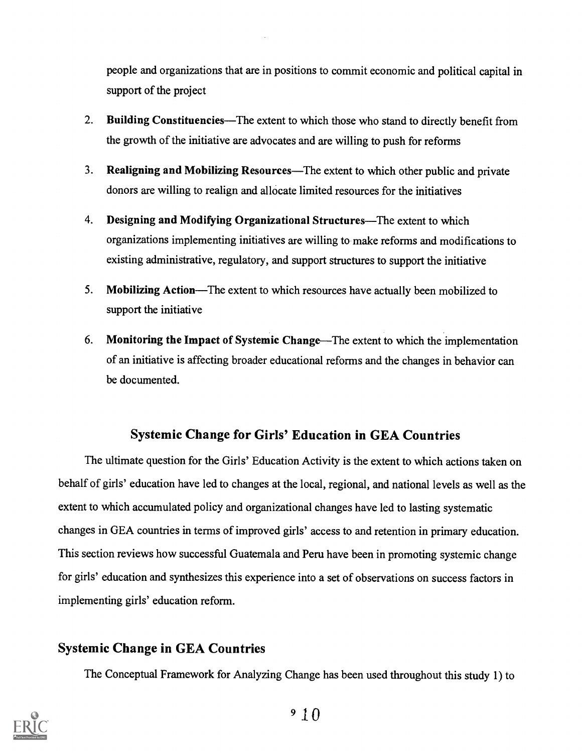people and organizations that are in positions to commit economic and political capital in support of the project

- 2. Building Constituencies—The extent to which those who stand to directly benefit from the growth of the initiative are advocates and are willing to push for reforms
- 3. Realigning and Mobilizing Resources—The extent to which other public and private donors are willing to realign and allocate limited resources for the initiatives
- 4. Designing and Modifying Organizational Structures—The extent to which organizations implementing initiatives are willing to make reforms and modifications to existing administrative, regulatory, and support structures to support the initiative
- 5. Mobilizing Action—The extent to which resources have actually been mobilized to support the initiative
- 6. Monitoring the Impact of Systemic Change—The extent to which the implementation of an initiative is affecting broader educational reforms and the changes in behavior can be documented.

# Systemic Change for Girls' Education in GEA Countries

The ultimate question for the Girls' Education Activity is the extent to which actions taken on behalf of girls' education have led to changes at the local, regional, and national levels as well as the extent to which accumulated policy and organizational changes have led to lasting systematic changes in GEA countries in terms of improved girls' access to and retention in primary education. This section reviews how successful Guatemala and Peru have been in promoting systemic change for girls' education and synthesizes this experience into a set of observations on success factors in implementing girls' education reform.

# Systemic Change in GEA Countries

The Conceptual Framework for Analyzing Change has been used throughout this study 1) to

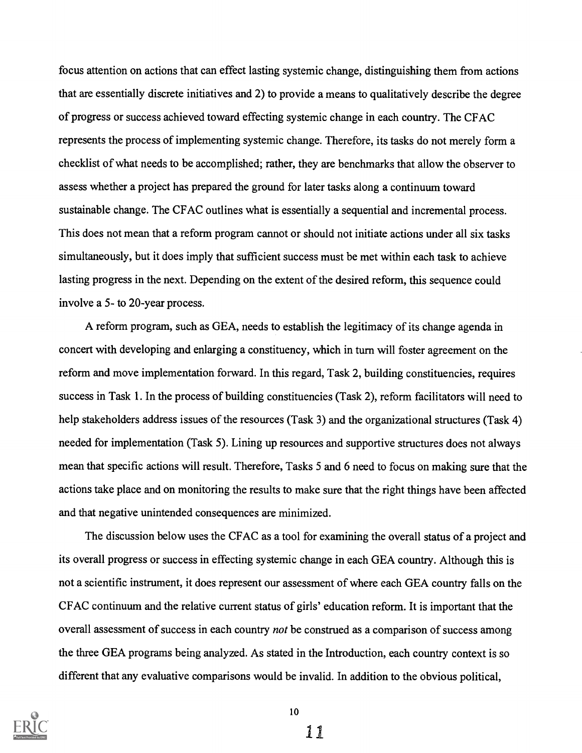focus attention on actions that can effect lasting systemic change, distinguishing them from actions that are essentially discrete initiatives and 2) to provide a means to qualitatively describe the degree of progress or success achieved toward effecting systemic change in each country. The CFAC represents the process of implementing systemic change. Therefore, its tasks do not merely form a checklist of what needs to be accomplished; rather, they are benchmarks that allow the observer to assess whether a project has prepared the ground for later tasks along a continuum toward sustainable change. The CFAC outlines what is essentially a sequential and incremental process. This does not mean that a reform program cannot or should not initiate actions under all six tasks simultaneously, but it does imply that sufficient success must be met within each task to achieve lasting progress in the next. Depending on the extent of the desired reform, this sequence could involve a 5- to 20-year process.

A reform program, such as GEA, needs to establish the legitimacy of its change agenda in concert with developing and enlarging a constituency, which in turn will foster agreement on the reform and move implementation forward. In this regard, Task 2, building constituencies, requires success in Task 1. In the process of building constituencies (Task 2), reform facilitators will need to help stakeholders address issues of the resources (Task 3) and the organizational structures (Task 4) needed for implementation (Task 5). Lining up resources and supportive structures does not always mean that specific actions will result. Therefore, Tasks 5 and 6 need to focus on making sure that the actions take place and on monitoring the results to make sure that the right things have been affected and that negative unintended consequences are minimized.

The discussion below uses the CFAC as a tool for examining the overall status of a project and its overall progress or success in effecting systemic change in each GEA country. Although this is not a scientific instrument, it does represent our assessment of where each GEA country falls on the CFAC continuum and the relative current status of girls' education reform. It is important that the overall assessment of success in each country *not* be construed as a comparison of success among the three GEA programs being analyzed. As stated in the Introduction, each country context is so different that any evaluative comparisons would be invalid. In addition to the obvious political,

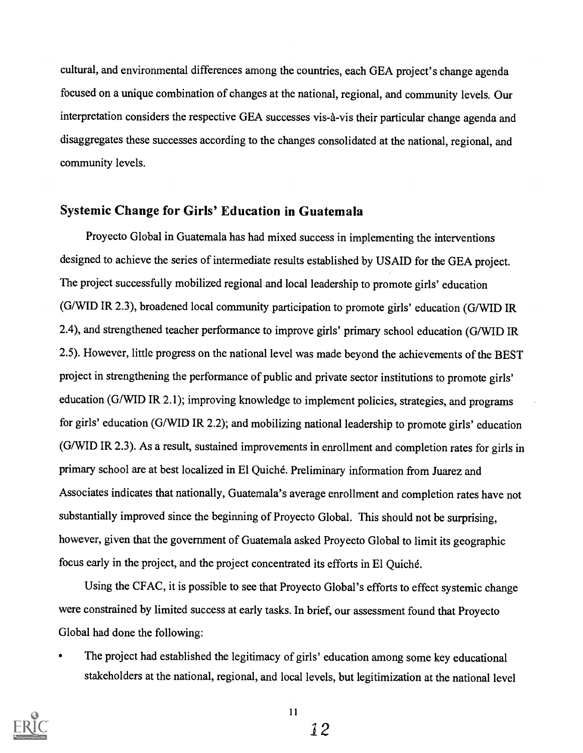cultural, and environmental differences among the countries, each GEA project's change agenda focused on a unique combination of changes at the national, regional, and community levels. Our interpretation considers the respective GEA successes vis-a-vis their particular change agenda and disaggregates these successes according to the changes consolidated at the national, regional, and community levels.

## Systemic Change for Girls' Education in Guatemala

Proyecto Global in Guatemala has had mixed success in implementing the interventions designed to achieve the series of intermediate results established by USAID for the GEA project. The project successfully mobilized regional and local leadership to promote girls' education (G/WID IR 2.3), broadened local community participation to promote girls' education (G/WID IR 2.4), and strengthened teacher performance to improve girls' primary school education (G/WID IR 2.5). However, little progress on the national level was made beyond the achievements of the BEST project in strengthening the performance of public and private sector institutions to promote girls' education (G/WID IR 2.1); improving knowledge to implement policies, strategies, and programs for girls' education (G/WID IR 2.2); and mobilizing national leadership to promote girls' education (G/WID IR 2.3). As a result, sustained improvements in enrollment and completion rates for girls in primary school are at best localized in El Quiche. Preliminary information from Juarez and Associates indicates that nationally, Guatemala's average enrollment and completion rates have not substantially improved since the beginning of Proyecto Global. This should not be surprising, however, given that the government of Guatemala asked Proyecto Global to limit its geographic focus early in the project, and the project concentrated its efforts in El Quiche.

Using the CFAC, it is possible to see that Proyecto Global's efforts to effect systemic change were constrained by limited success at early tasks. In brief, our assessment found that Proyecto Global had done the following:

The project had established the legitimacy of girls' education among some key educational stakeholders at the national, regional, and local levels, but legitimization at the national level



11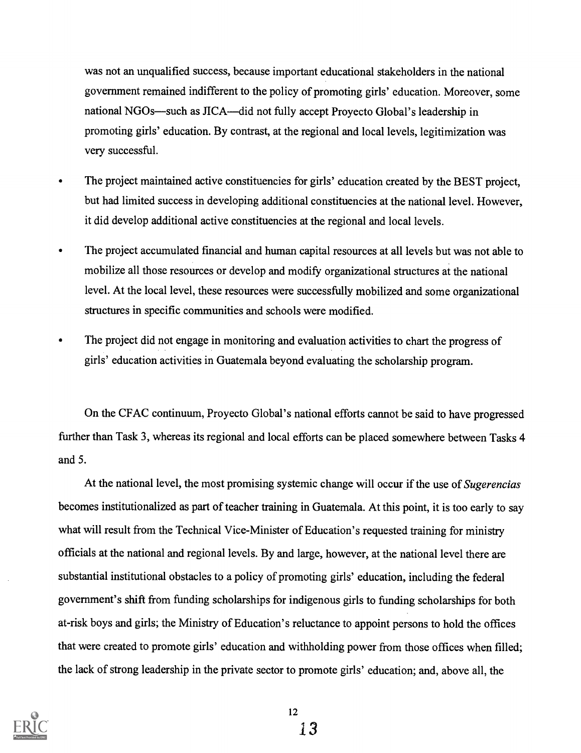was not an unqualified success, because important educational stakeholders in the national government remained indifferent to the policy of promoting girls' education. Moreover, some national NGOs—such as JICA—did not fully accept Proyecto Global's leadership in promoting girls' education. By contrast, at the regional and local levels, legitimization was very successful.

- The project maintained active constituencies for girls' education created by the BEST project, but had limited success in developing additional constituencies at the national level. However, it did develop additional active constituencies at the regional and local levels.
- The project accumulated financial and human capital resources at all levels but was not able to  $\bullet$ mobilize all those resources or develop and modify organizational structures at the national level. At the local level, these resources were successfully mobilized and some organizational structures in specific communities and schools were modified.
- The project did not engage in monitoring and evaluation activities to chart the progress of  $\bullet$ girls' education activities in Guatemala beyond evaluating the scholarship program.

On the CFAC continuum, Proyecto Global's national efforts cannot be said to have progressed further than Task 3, whereas its regional and local efforts can be placed somewhere between Tasks 4 and 5.

At the national level, the most promising systemic change will occur if the use of Sugerencias becomes institutionalized as part of teacher training in Guatemala. At this point, it is too early to say what will result from the Technical Vice-Minister of Education's requested training for ministry officials at the national and regional levels. By and large, however, at the national level there are substantial institutional obstacles to a policy of promoting girls' education, including the federal government's shift from funding scholarships for indigenous girls to funding scholarships for both at-risk boys and girls; the Ministry of Education's reluctance to appoint persons to hold the offices that were created to promote girls' education and withholding power from those offices when filled; the lack of strong leadership in the private sector to promote girls' education; and, above all, the

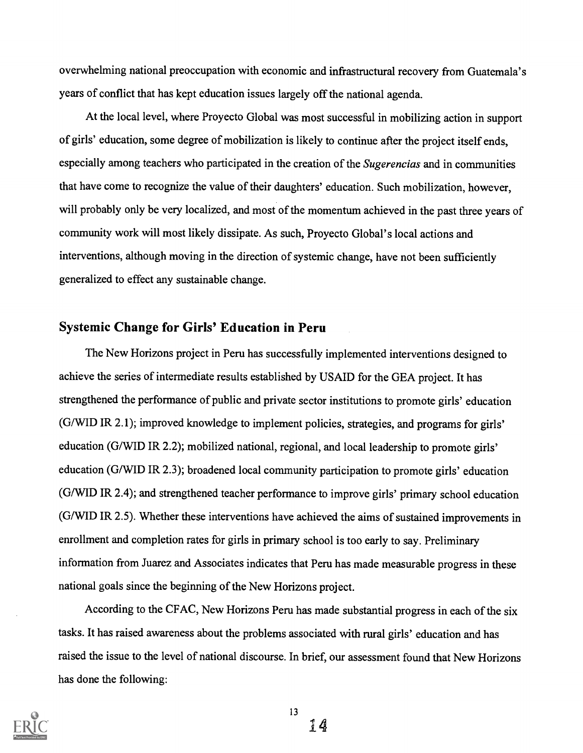overwhelming national preoccupation with economic and infrastructural recovery from Guatemala's years of conflict that has kept education issues largely off the national agenda.

At the local level, where Proyecto Global was most successful in mobilizing action in support of girls' education, some degree of mobilization is likely to continue after the project itself ends, especially among teachers who participated in the creation of the Sugerencias and in communities that have come to recognize the value of their daughters' education. Such mobilization, however, will probably only be very localized, and most of the momentum achieved in the past three years of community work will most likely dissipate. As such, Proyecto Global's local actions and interventions, although moving in the direction of systemic change, have not been sufficiently generalized to effect any sustainable change.

### Systemic Change for Girls' Education in Peru

The New Horizons project in Peru has successfully implemented interventions designed to achieve the series of intermediate results established by USAID for the GEA project. It has strengthened the performance of public and private sector institutions to promote girls' education (G/WID IR 2.1); improved knowledge to implement policies, strategies, and programs for girls' education (G/WID IR 2.2); mobilized national, regional, and local leadership to promote girls' education (G/WID IR 2.3); broadened local community participation to promote girls' education (G/WID IR 2.4); and strengthened teacher performance to improve girls' primary school education (G/WID IR 2.5). Whether these interventions have achieved the aims of sustained improvements in enrollment and completion rates for girls in primary school is too early to say. Preliminary information from Juarez and Associates indicates that Peru has made measurable progress in these national goals since the beginning of the New Horizons project.

According to the CFAC, New Horizons Peru has made substantial progress in each of the six tasks. It has raised awareness about the problems associated with rural girls' education and has raised the issue to the level of national discourse. In brief, our assessment found that New Horizons has done the following:

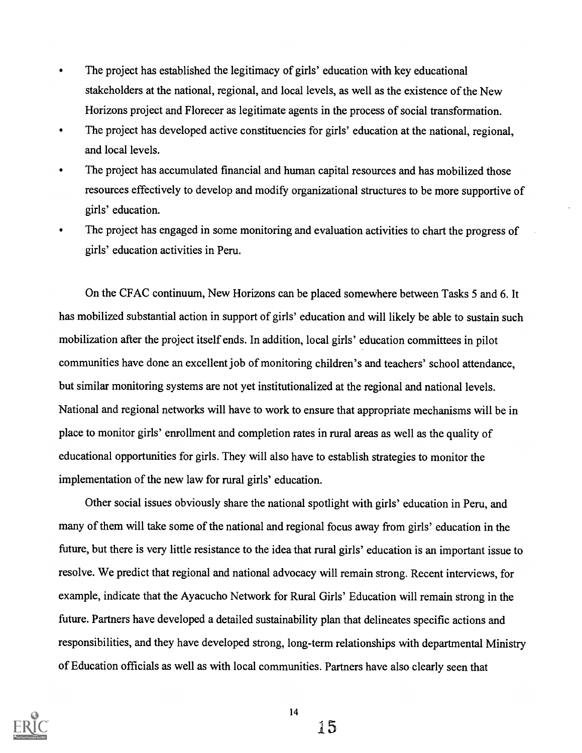- The project has established the legitimacy of girls' education with key educational stakeholders at the national, regional, and local levels, as well as the existence of the New Horizons project and Florecer as legitimate agents in the process of social transformation.
- The project has developed active constituencies for girls' education at the national, regional, and local levels.
- The project has accumulated financial and human capital resources and has mobilized those resources effectively to develop and modify organizational structures to be more supportive of girls' education.
- The project has engaged in some monitoring and evaluation activities to chart the progress of girls' education activities in Peru.

On the CFAC continuum, New Horizons can be placed somewhere between Tasks 5 and 6. It has mobilized substantial action in support of girls' education and will likely be able to sustain such mobilization after the project itself ends. In addition, local girls' education committees in pilot communities have done an excellent job of monitoring children's and teachers' school attendance, but similar monitoring systems are not yet institutionalized at the regional and national levels. National and regional networks will have to work to ensure that appropriate mechanisms will be in place to monitor girls' enrollment and completion rates in rural areas as well as the quality of educational opportunities for girls. They will also have to establish strategies to monitor the implementation of the new law for rural girls' education.

Other social issues obviously share the national spotlight with girls' education in Peru, and many of them will take some of the national and regional focus away from girls' education in the future, but there is very little resistance to the idea that rural girls' education is an important issue to resolve. We predict that regional and national advocacy will remain strong. Recent interviews, for example, indicate that the Ayacucho Network for Rural Girls' Education will remain strong in the future. Partners have developed a detailed sustainability plan that delineates specific actions and responsibilities, and they have developed strong, long-term relationships with departmental Ministry of Education officials as well as with local communities. Partners have also clearly seen that

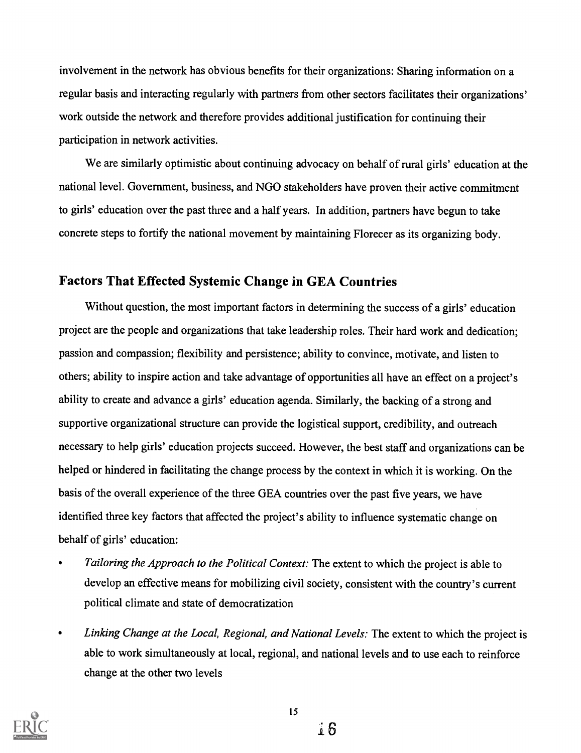involvement in the network has obvious benefits for their organizations: Sharing information on a regular basis and interacting regularly with partners from other sectors facilitates their organizations' work outside the network and therefore provides additional justification for continuing their participation in network activities.

We are similarly optimistic about continuing advocacy on behalf of rural girls' education at the national level. Government, business, and NGO stakeholders have proven their active commitment to girls' education over the past three and a half years. In addition, partners have begun to take concrete steps to fortify the national movement by maintaining Florecer as its organizing body.

### Factors That Effected Systemic Change in GEA Countries

Without question, the most important factors in determining the success of a girls' education project are the people and organizations that take leadership roles. Their hard work and dedication; passion and compassion; flexibility and persistence; ability to convince, motivate, and listen to others; ability to inspire action and take advantage of opportunities all have an effect on a project's ability to create and advance a girls' education agenda. Similarly, the backing of a strong and supportive organizational structure can provide the logistical support, credibility, and outreach necessary to help girls' education projects succeed. However, the best staff and organizations can be helped or hindered in facilitating the change process by the context in which it is working. On the basis of the overall experience of the three GEA countries over the past five years, we have identified three key factors that affected the project's ability to influence systematic change on behalf of girls' education:

- Tailoring the Approach to the Political Context: The extent to which the project is able to develop an effective means for mobilizing civil society, consistent with the country's current political climate and state of democratization
- Linking Change at the Local, Regional, and National Levels: The extent to which the project is  $\bullet$ able to work simultaneously at local, regional, and national levels and to use each to reinforce change at the other two levels

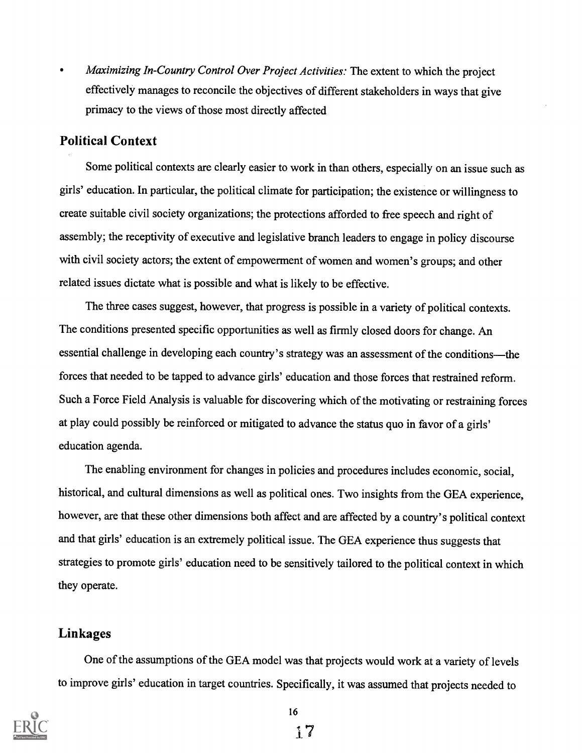Maximizing In-Country Control Over Project Activities: The extent to which the project  $\bullet$ effectively manages to reconcile the objectives of different stakeholders in ways that give primacy to the views of those most directly affected

### Political Context

Some political contexts are clearly easier to work in than others, especially on an issue such as girls' education. In particular, the political climate for participation; the existence or willingness to create suitable civil society organizations; the protections afforded to free speech and right of assembly; the receptivity of executive and legislative branch leaders to engage in policy discourse with civil society actors; the extent of empowerment of women and women's groups; and other related issues dictate what is possible and what is likely to be effective.

The three cases suggest, however, that progress is possible in a variety of political contexts. The conditions presented specific opportunities as well as firmly closed doors for change. An essential challenge in developing each country's strategy was an assessment of the conditions—the forces that needed to be tapped to advance girls' education and those forces that restrained reform. Such a Force Field Analysis is valuable for discovering which of the motivating or restraining forces at play could possibly be reinforced or mitigated to advance the status quo in favor of a girls' education agenda.

The enabling environment for changes in policies and procedures includes economic, social, historical, and cultural dimensions as well as political ones. Two insights from the GEA experience, however, are that these other dimensions both affect and are affected by a country's political context and that girls' education is an extremely political issue. The GEA experience thus suggests that strategies to promote girls' education need to be sensitively tailored to the political context in which they operate.

### Linkages

One of the assumptions of the GEA model was that projects would work at a variety of levels to improve girls' education in target countries. Specifically, it was assumed that projects needed to

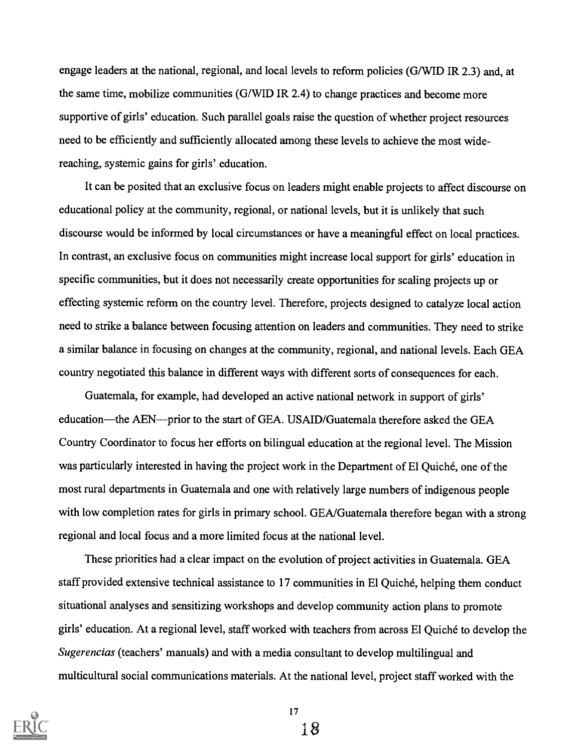engage leaders at the national, regional, and local levels to reform policies (G/WID IR 2.3) and, at the same time, mobilize communities (G/WID IR 2.4) to change practices and become more supportive of girls' education. Such parallel goals raise the question of whether project resources need to be efficiently and sufficiently allocated among these levels to achieve the most widereaching, systemic gains for girls' education.

It can be posited that an exclusive focus on leaders might enable projects to affect discourse on educational policy at the community, regional, or national levels, but it is unlikely that such discourse would be informed by local circumstances or have a meaningful effect on local practices. In contrast, an exclusive focus on communities might increase local support for girls' education in specific communities, but it does not necessarily create opportunities for scaling projects up or effecting systemic reform on the country level. Therefore, projects designed to catalyze local action need to strike a balance between focusing attention on leaders and communities. They need to strike a similar balance in focusing on changes at the community, regional, and national levels. Each GEA country negotiated this balance in different ways with different sorts of consequences for each.

Guatemala, for example, had developed an active national network in support of girls' education—the AEN—prior to the start of GEA. USAID/Guatemala therefore asked the GEA Country Coordinator to focus her efforts on bilingual education at the regional level. The Mission was particularly interested in having the project work in the Department of El Quiche, one of the most rural departments in Guatemala and one with relatively large numbers of indigenous people with low completion rates for girls in primary school. GEA/Guatemala therefore began with a strong regional and local focus and a more limited focus at the national level.

These priorities had a clear impact on the evolution of project activities in Guatemala. GEA staff provided extensive technical assistance to 17 communities in El Quiche, helping them conduct situational analyses and sensitizing workshops and develop community action plans to promote girls' education. At a regional level, staff worked with teachers from across El Quiche to develop the Sugerencias (teachers' manuals) and with a media consultant to develop multilingual and multicultural social communications materials. At the national level, project staff worked with the



17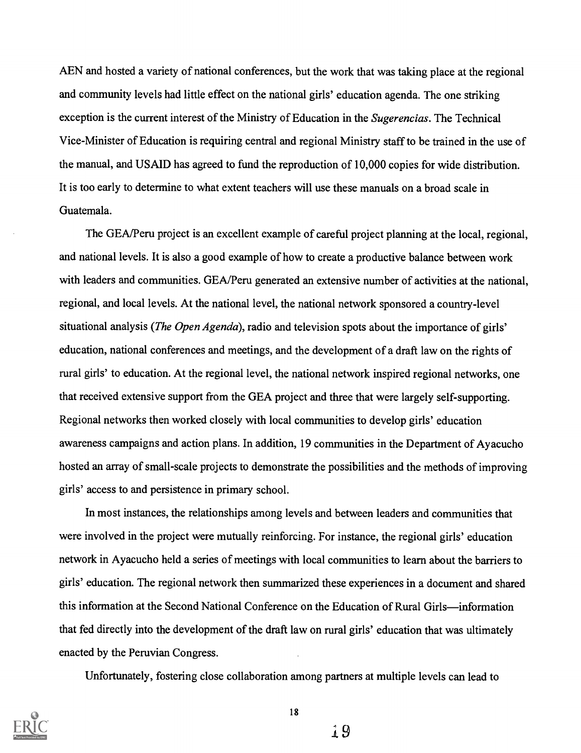AEN and hosted a variety of national conferences, but the work that was taking place at the regional and community levels had little effect on the national girls' education agenda. The one striking exception is the current interest of the Ministry of Education in the Sugerencias. The Technical Vice-Minister of Education is requiring central and regional Ministry staff to be trained in the use of the manual, and USAID has agreed to fund the reproduction of 10,000 copies for wide distribution. It is too early to determine to what extent teachers will use these manuals on a broad scale in Guatemala.

The GEA/Peru project is an excellent example of careful project planning at the local, regional, and national levels. It is also a good example of how to create a productive balance between work with leaders and communities. GEA/Peru generated an extensive number of activities at the national, regional, and local levels. At the national level, the national network sponsored a country-level situational analysis (*The Open Agenda*), radio and television spots about the importance of girls' education, national conferences and meetings, and the development of a draft law on the rights of rural girls' to education. At the regional level, the national network inspired regional networks, one that received extensive support from the GEA project and three that were largely self-supporting. Regional networks then worked closely with local communities to develop girls' education awareness campaigns and action plans. In addition, 19 communities in the Department of Ayacucho hosted an array of small-scale projects to demonstrate the possibilities and the methods of improving girls' access to and persistence in primary school.

In most instances, the relationships among levels and between leaders and communities that were involved in the project were mutually reinforcing. For instance, the regional girls' education network in Ayacucho held a series of meetings with local communities to learn about the barriers to girls' education. The regional network then summarized these experiences in a document and shared this information at the Second National Conference on the Education of Rural Girls—information that fed directly into the development of the draft law on rural girls' education that was ultimately enacted by the Peruvian Congress.

Unfortunately, fostering close collaboration among partners at multiple levels can lead to

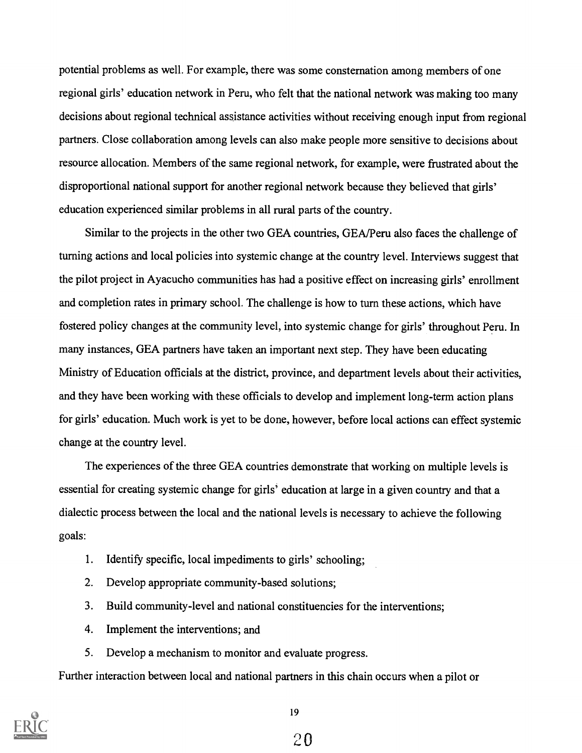potential problems as well. For example, there was some consternation among members of one regional girls' education network in Peru, who felt that the national network was making too many decisions about regional technical assistance activities without receiving enough input from regional partners. Close collaboration among levels can also make people more sensitive to decisions about resource allocation. Members of the same regional network, for example, were frustrated about the disproportional national support for another regional network because they believed that girls' education experienced similar problems in all rural parts of the country.

Similar to the projects in the other two GEA countries, GEA/Peru also faces the challenge of turning actions and local policies into systemic change at the country level. Interviews suggest that the pilot project in Ayacucho communities has had a positive effect on increasing girls' enrollment and completion rates in primary school. The challenge is how to turn these actions, which have fostered policy changes at the community level, into systemic change for girls' throughout Peru. In many instances, GEA partners have taken an important next step. They have been educating Ministry of Education officials at the district, province, and department levels about their activities, and they have been working with these officials to develop and implement long-term action plans for girls' education. Much work is yet to be done, however, before local actions can effect systemic change at the country level.

The experiences of the three GEA countries demonstrate that working on multiple levels is essential for creating systemic change for girls' education at large in a given country and that a dialectic process between the local and the national levels is necessary to achieve the following goals:

- 1. Identify specific, local impediments to girls' schooling;
- 2. Develop appropriate community-based solutions;
- 3. Build community-level and national constituencies for the interventions;
- 4. Implement the interventions; and
- 5. Develop a mechanism to monitor and evaluate progress.

Further interaction between local and national partners in this chain occurs when a pilot or



19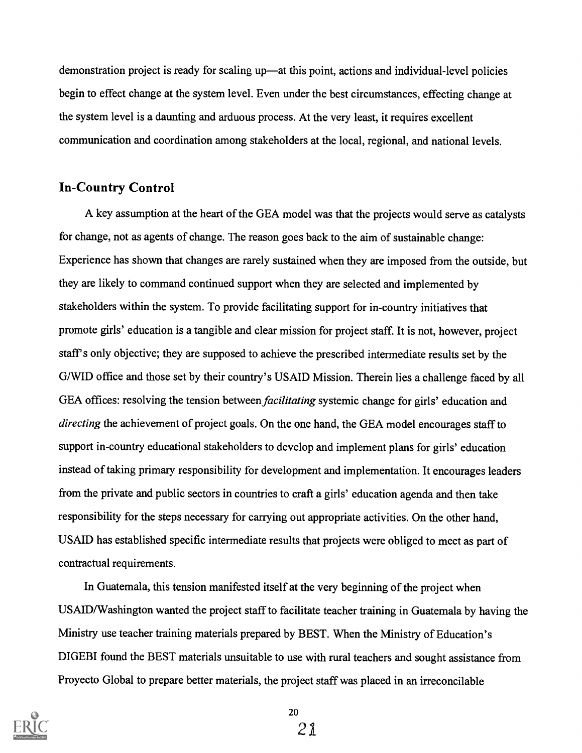demonstration project is ready for scaling up—at this point, actions and individual-level policies begin to effect change at the system level. Even under the best circumstances, effecting change at the system level is a daunting and arduous process. At the very least, it requires excellent communication and coordination among stakeholders at the local, regional, and national levels.

#### In-Country Control

A key assumption at the heart of the GEA model was that the projects would serve as catalysts for change, not as agents of change. The reason goes back to the aim of sustainable change: Experience has shown that changes are rarely sustained when they are imposed from the outside, but they are likely to command continued support when they are selected and implemented by stakeholders within the system. To provide facilitating support for in-country initiatives that promote girls' education is a tangible and clear mission for project staff. It is not, however, project staff's only objective; they are supposed to achieve the prescribed intermediate results set by the G/WID office and those set by their country's USAID Mission. Therein lies a challenge faced by all GEA offices: resolving the tension between *facilitating* systemic change for girls' education and directing the achievement of project goals. On the one hand, the GEA model encourages staff to support in-country educational stakeholders to develop and implement plans for girls' education instead of taking primary responsibility for development and implementation. It encourages leaders from the private and public sectors in countries to craft a girls' education agenda and then take responsibility for the steps necessary for carrying out appropriate activities. On the other hand, USAID has established specific intermediate results that projects were obliged to meet as part of contractual requirements.

In Guatemala, this tension manifested itself at the very beginning of the project when USAID/Washington wanted the project staff to facilitate teacher training in Guatemala by having the Ministry use teacher training materials prepared by BEST. When the Ministry of Education's DIGEBI found the BEST materials unsuitable to use with rural teachers and sought assistance from Proyecto Global to prepare better materials, the project staff was placed in an irreconcilable



20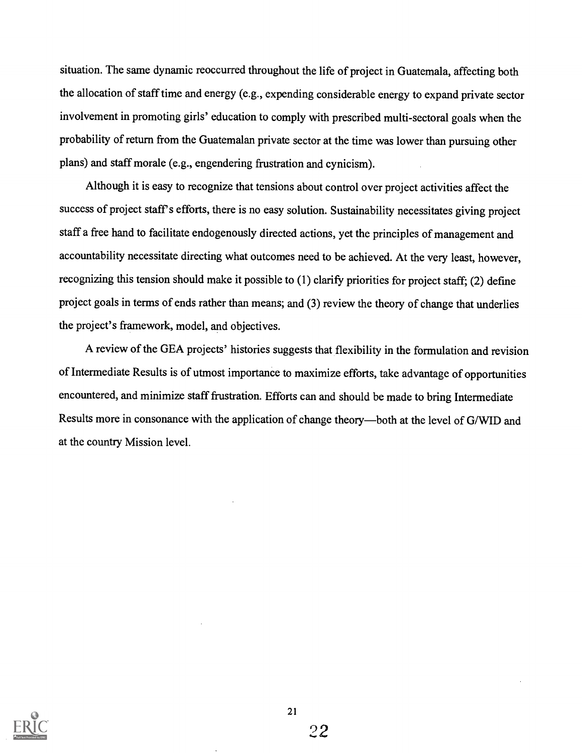situation. The same dynamic reoccurred throughout the life of project in Guatemala, affecting both the allocation of staff time and energy (e.g., expending considerable energy to expand private sector involvement in promoting girls' education to comply with prescribed multi-sectoral goals when the probability of return from the Guatemalan private sector at the time was lower than pursuing other plans) and staff morale (e.g., engendering frustration and cynicism).

Although it is easy to recognize that tensions about control over project activities affect the success of project staff's efforts, there is no easy solution. Sustainability necessitates giving project staff a free hand to facilitate endogenously directed actions, yet the principles of management and accountability necessitate directing what outcomes need to be achieved. At the very least, however, recognizing this tension should make it possible to (1) clarify priorities for project staff; (2) define project goals in terms of ends rather than means; and (3) review the theory of change that underlies the project's framework, model, and objectives.

A review of the GEA projects' histories suggests that flexibility in the formulation and revision of Intermediate Results is of utmost importance to maximize efforts, take advantage of opportunities encountered, and minimize staff frustration. Efforts can and should be made to bring Intermediate Results more in consonance with the application of change theory—both at the level of G/WID and at the country Mission level.

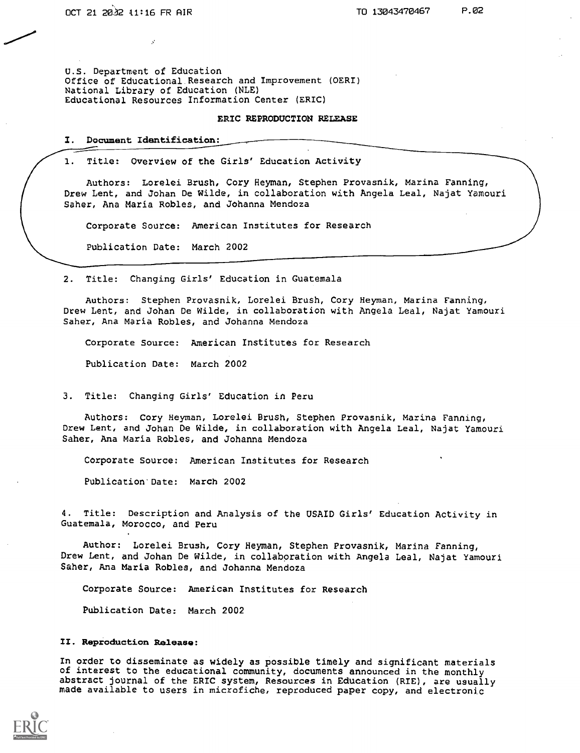U.S. Department of Education Office of Educational Research and Improvement (OERI) National Library of Education (NLE) Educational Resources Information Center (ERIC)

#### ERIC REPRODUCTION RELEASE

#### I. Document Identification:

1. Title: Overview of the Girls' Education Activity

Authors: Lorelei Brush, Cory Heyman, Stephen Provasnik, Marina Fanning, Drew Lent, and Johan De Wilde, in collaboration with Angela Leal, Najat Yamouri Saber, Ana Maria Robles, and Johanna Mendoza

Corporate Source: American Institutes for Research

Publication Date: March 2002

2. Title: Changing Girls' Education in Guatemala

Authors: Stephen Provasnik, Lorelei Brush, Cory Heyman, Marina Fanning, Drew Lent, and Johan De Wilde, in collaboration with Angela Leal, Najat Yamouri Saber, Ana Maria Robles, and Johanna Mendoza

Corporate Source: American Institutes for Research

Publication Date: March 2002

3. Title: Changing Girls' Education in Peru

Authors: Cory Heyman, Lorelei Brush, Stephen Provasnik, Marina Fanning, Drew Lent, and Johan De Wilde, in collaboration with Angela Leal, Najat Yamouri Saher, Ana Maria Robles, and Johanna Mendoza

Corporate Source: American Institutes for Research

Publication' Date: March 2002

4. Title: Description and Analysis of the USAID Girls' Education Activity in Guatemala, Morocco, and Peru

Author: Lorelei Brush, Cory Heyman, Stephen Provasnik, Marina Fanning, Drew Lent, and Johan De Wilde, in collaboration with Angela Leal, Najat Yamouri Saher, Ana Maria Robles, and Johanna Mendoza

Corporate Source: American Institutes for Research

Publication Date: March 2002

#### II. Reproduction Release:

In order to disseminate as widely as possible timely and significant materials of interest to the educational community, documents announced in the monthly abstract journal of the ERIC system, Resources in Education (RIE), are usually made available to users in microfiche, reproduced paper copy, and electronic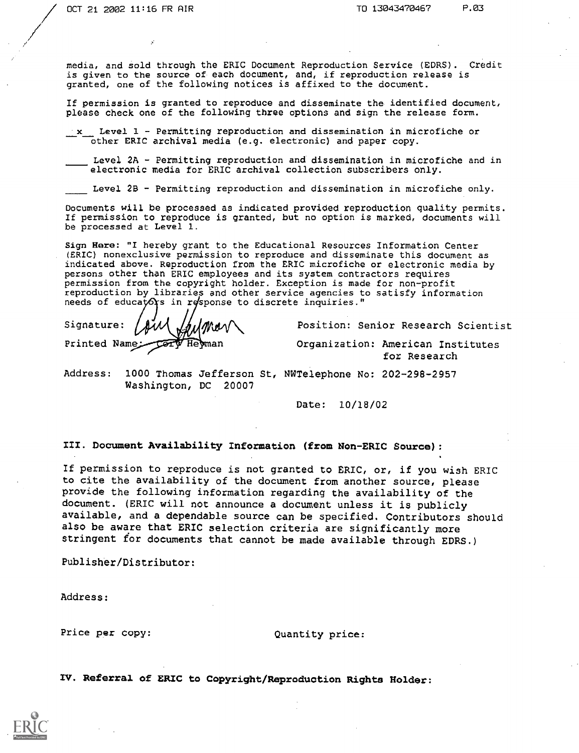media, and sold through the ERIC Document Reproduction Service (EDRS). Credit is given to the source of each document, and, if reproduction release is granted, one of the following notices is affixed to the document.

If permission is granted to reproduce and disseminate the identified document, please check one of the following three options and sign the release form.

x Level 1 - Permitting reproduction and dissemination in microfiche or other ERIC archival media (e.g. electronic) and paper copy.

Level  $2A$  - Permitting reproduction and dissemination in microfiche and in electronic media for ERIC archival collection subscribers only.

Level 2B - Permitting reproduction and dissemination in microfiche only.

Documents will be processed as indicated provided reproduction quality permits. If permission to reproduce is granted, but no option is marked, documents will be processed at Level 1.

Sign Here: "I hereby grant to the Educational Resources Information Center (ERIC) nonexclusive permission to reproduce and disseminate this document as indicated above. Reproduction from the ERIC microfiche or electronic media by persons other than ERIC employees and its system contractors requires permission from the copyright holder. Exception is made for non-profit reproduction by libraries and other service agencies to satisfy information needs of educators in response to discrete inquiries."

Signature: Printed Name

Position: Senior Research Scientist

Organization: American Institutes for Research

Address: 1000 Thomas Jefferson St, NWTelephone No: 202-298-2957 Washington, DC 20007

Date: 10/18/02

III. Document Availability Information (from Non-ERIC Source):

If permission to reproduce is not granted to ERIC, or, if you wish ERIC to cite the availability of the document from another source, please provide the following information regarding the availability of the document. (ERIC will not announce a document unless it is publicly available, and a dependable source can be specified. Contributors should also be aware that ERIC selection criteria are significantly more stringent for documents that cannot be made available through EDRS.)

Publisher/Distributor:

Address:

Price per copy:  $Quantity price:$ 

IV. Referral of ERIC to Copyright/Reproduction Rights Holder: